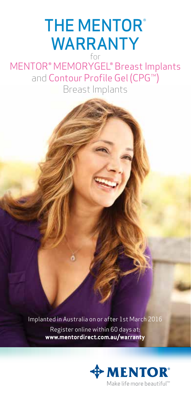## **THE MENTOR®** WARRANTY for

MENTOR® MEMORYGEL® Breast Implants and Contour Profile Gel (CPG™)

Breast Implants

Implanted in Australia on or after 1st March 2016 Register online within 60 days at: **www.mentordirect.com.au/warranty**

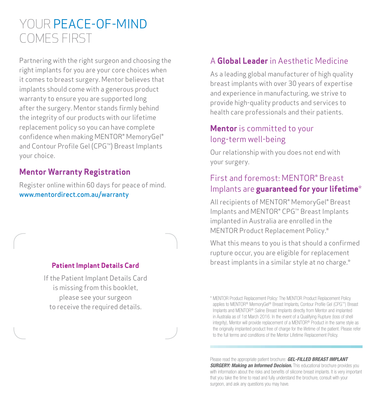# YOUR PEACE-OF-MIND COMES FIRST

Partnering with the right surgeon and choosing the right implants for you are your core choices when it comes to breast surgery. Mentor believes that implants should come with a generous product warranty to ensure you are supported long after the surgery. Mentor stands firmly behind the integrity of our products with our lifetime replacement policy so you can have complete confidence when making MENTOR® MemoryGel® and Contour Profile Gel (CPG™) Breast Implants your choice.

### **Mentor Warranty Registration**

Register online within 60 days for peace of mind. www.mentordirect.com.au/warranty

#### **Patient Implant Details Card**

If the Patient Implant Details Card is missing from this booklet, please see your surgeon to receive the required details.

#### A **Global Leader** in Aesthetic Medicine

As a leading global manufacturer of high quality breast implants with over 30 years of expertise and experience in manufacturing, we strive to provide high-quality products and services to health care professionals and their patients.

#### **Mentor** is committed to your long-term well-being

Our relationship with you does not end with your surgery.

### First and foremost: MENTOR® Breast Implants are **guaranteed for your lifetime**\*

All recipients of MENTOR® MemoryGel® Breast Implants and MENTOR® CPG™ Breast Implants implanted in Australia are enrolled in the MENTOR Product Replacement Policy.\*

What this means to you is that should a confirmed rupture occur, you are eligible for replacement breast implants in a similar style at no charge.\*

\* MENTOR Product Replacement Policy: The MENTOR Product Replacement Policy applies to MENTOR® MemoryGel® Breast Implants, Contour Profile Gel (CPG™) Breast Implants and MENTOR® Saline Breast Implants directly from Mentor and implanted in Australia as of 1st March 2016. In the event of a Qualifying Rupture (loss of shell integrity), Mentor will provide replacement of a MENTOR® Product in the same style as the originally implanted product free of charge for the lifetime of the patient. Please refer to the full terms and conditions of the Mentor Lifetime Replacement Policy.

Please read the appropriate patient brochure: *GEL-FILLED BREAST IMPLANT SURGERY: Making an Informed Decision.* This educational brochure provides you with information about the risks and benefits of silicone breast implants. It is very important that you take the time to read and fully understand the brochure, consult with your surgeon, and ask any questions you may have.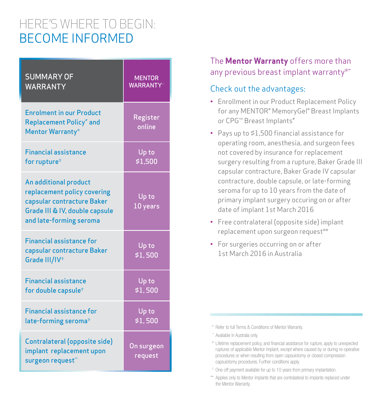# HERE'S WHERE TO BEGIN: BECOME INFORMED

| <b>SUMMARY OF</b>                                                                                                                               | <b>MENTOR</b>         |
|-------------------------------------------------------------------------------------------------------------------------------------------------|-----------------------|
| <b>WARRANTY</b>                                                                                                                                 | <b>WARRANTY*</b>      |
| <b>Enrolment in our Product</b><br><b>Replacement Policy*</b> and<br><b>Mentor Warranty*</b>                                                    | Register<br>online    |
| <b>Financial assistance</b>                                                                                                                     | Up to                 |
| for rupture <sup>*</sup>                                                                                                                        | \$1,500               |
| An additional product<br>replacement policy covering<br>capsular contracture Baker<br>Grade III & IV, double capsule<br>and late-forming seroma | Up to<br>$10$ years   |
| <b>Financial assistance for</b><br>capsular contracture Baker<br>Grade III/IV <sup>+</sup>                                                      | Up to<br>\$1,500      |
| <b>Financial assistance</b>                                                                                                                     | Up to                 |
| for double capsule <sup>*</sup>                                                                                                                 | \$1,500               |
| <b>Financial assistance for</b>                                                                                                                 | Up to                 |
| late-forming seroma <sup>+</sup>                                                                                                                | \$1,500               |
| Contralateral (opposite side)<br>implant replacement upon<br>surgeon request**                                                                  | On surgeon<br>request |

### The **Mentor Warranty** offers more than any previous breast implant warranty\*~

#### Check out the advantages:

- Enrollment in our Product Replacement Policy for any MENTOR® MemoryGel® Breast Implants or CPG™ Breast Implants<sup>#</sup>
- Pays up to \$1,500 financial assistance for operating room, anesthesia, and surgeon fees not covered by insurance for replacement surgery resulting from a rupture, Baker Grade III capsular contracture, Baker Grade IV capsular contracture, double capsule, or late-forming seroma for up to 10 years from the date of primary implant surgery occuring on or after date of implant 1st March 2016
- Free contralateral (opposite side) implant replacement upon surgeon request\*\*
- For surgeries occurring on or after 1st March 2016 in Australia

- ˜ Available in Australia only.
- # Lifetime replacement policy, and financial assistance for rupture, apply to unexpected ruptures of applicable Mentor implant, except where caused by or during re-operative procedures or when resulting from open capsulotomy or closed compression capsulotomy procedures. Further conditions apply.
- † One-off payment available for up to 10 years from primary implantation.
- \*\* Applies only to Mentor implants that are contralateral to implants replaced under the Mentor Warranty.

<sup>\*</sup> Refer to full Terms & Conditions of Mentor Warranty.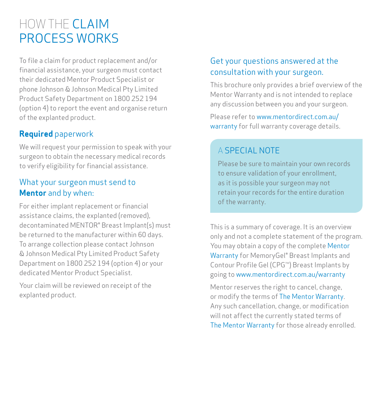# HOW THE CLAIM PROCESS WORKS

To file a claim for product replacement and/or financial assistance, your surgeon must contact their dedicated Mentor Product Specialist or phone Johnson & Johnson Medical Pty Limited Product Safety Department on 1800 252 194 (option 4) to report the event and organise return of the explanted product.

### **Required** paperwork

We will request your permission to speak with your surgeon to obtain the necessary medical records to verify eligibility for financial assistance.

#### What your surgeon must send to **Mentor** and by when:

For either implant replacement or financial assistance claims, the explanted (removed), decontaminated MENTOR® Breast Implant(s) must be returned to the manufacturer within 60 days. To arrange collection please contact Johnson & Johnson Medical Pty Limited Product Safety Department on 1800 252 194 (option 4) or your dedicated Mentor Product Specialist.

Your claim will be reviewed on receipt of the explanted product.

### Get your questions answered at the consultation with your surgeon.

This brochure only provides a brief overview of the Mentor Warranty and is not intended to replace any discussion between you and your surgeon.

Please refer to www.mentordirect.com.au/ warranty for full warranty coverage details.

### A SPECIAL NOTE

Please be sure to maintain your own records to ensure validation of your enrollment, as it is possible your surgeon may not retain your records for the entire duration of the warranty.

This is a summary of coverage. It is an overview only and not a complete statement of the program. You may obtain a copy of the complete Mentor Warranty for MemoryGel® Breast Implants and Contour Profile Gel (CPG™) Breast Implants by going to www.mentordirect.com.au/warranty

Mentor reserves the right to cancel, change, or modify the terms of The Mentor Warranty. Any such cancellation, change, or modification will not affect the currently stated terms of The Mentor Warranty for those already enrolled.